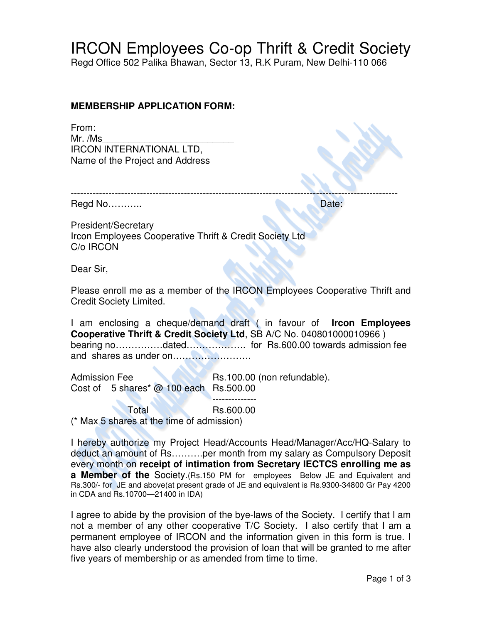## IRCON Employees Co-op Thrift & Credit Society

Regd Office 502 Palika Bhawan, Sector 13, R.K Puram, New Delhi-110 066

## **MEMBERSHIP APPLICATION FORM:**

From:  $Mr. /Ms$ IRCON INTERNATIONAL LTD, Name of the Project and Address

Regd No……….. Date:

President/Secretary Ircon Employees Cooperative Thrift & Credit Society Ltd C/o IRCON

Dear Sir,

Please enroll me as a member of the IRCON Employees Cooperative Thrift and Credit Society Limited.

I am enclosing a cheque/demand draft ( in favour of **Ircon Employees Cooperative Thrift & Credit Society Ltd**, SB A/C No. 040801000010966 ) bearing no……………dated………………. for Rs.600.00 towards admission fee and shares as under on…………………….

Admission Fee Rs.100.00 (non refundable). Cost of 5 shares\* @ 100 each Rs.500.00

 -------------- Total **Rs.600.00** (\* Max 5 shares at the time of admission)

I hereby authorize my Project Head/Accounts Head/Manager/Acc/HQ-Salary to deduct an amount of Rs……….per month from my salary as Compulsory Deposit every month on **receipt of intimation from Secretary IECTCS enrolling me as a Member of the** Society.(Rs.150 PM for employees Below JE and Equivalent and Rs.300/- for JE and above(at present grade of JE and equivalent is Rs.9300-34800 Gr Pay 4200 in CDA and Rs.10700—21400 in IDA)

I agree to abide by the provision of the bye-laws of the Society. I certify that I am not a member of any other cooperative T/C Society. I also certify that I am a permanent employee of IRCON and the information given in this form is true. I have also clearly understood the provision of loan that will be granted to me after five years of membership or as amended from time to time.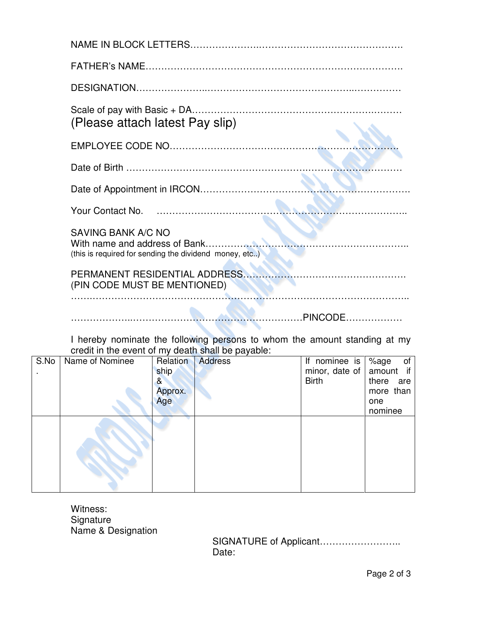| (Please attach latest Pay slip)                                                     |
|-------------------------------------------------------------------------------------|
|                                                                                     |
|                                                                                     |
|                                                                                     |
|                                                                                     |
| <b>SAVING BANK A/C NO</b><br>(this is required for sending the dividend money, etc) |
| (PIN CODE MUST BE MENTIONED)                                                        |
|                                                                                     |

I hereby nominate the following persons to whom the amount standing at my credit in the event of my death shall be payable:

| S.No | Name of Nominee | Relation | <b>Address</b> | If nominee is      | %age<br>of   |
|------|-----------------|----------|----------------|--------------------|--------------|
|      |                 | ship     |                | minor, date of $ $ | amount if    |
|      |                 | &        |                | <b>Birth</b>       | there<br>are |
|      |                 | Approx.  |                |                    | more than    |
|      |                 | Age      |                |                    | one          |
|      |                 |          |                |                    | nominee      |
|      |                 |          |                |                    |              |

Witness: Signature Name & Designation

 SIGNATURE of Applicant…………………….. Date: